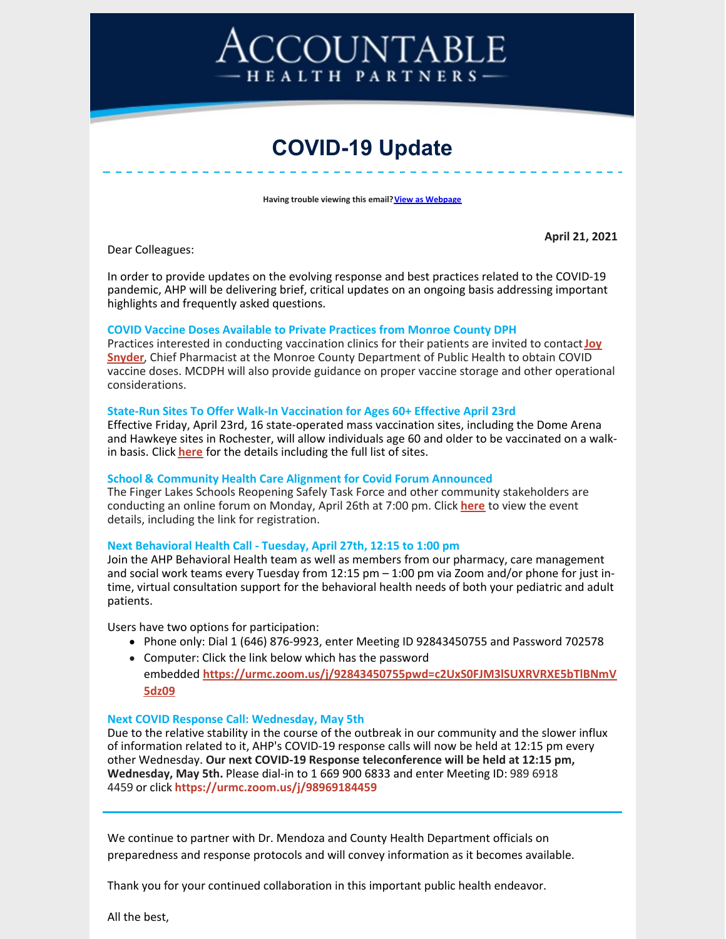# COUNTABLE HEALTH PARTNERS-

# **COVID-19 Update**

**Having trouble viewing this email? View as [Webpage](http://campaign.r20.constantcontact.com/render?ca=44a100cc-15d5-4cb3-92dc-0a1b0c212e76&preview=true&m=1116358108777&id=preview)** 

Dear Colleagues:

**April 21, 2021**

In order to provide updates on the evolving response and best practices related to the COVID-19 pandemic, AHP will be delivering brief, critical updates on an ongoing basis addressing important highlights and frequently asked questions.

#### **COVID Vaccine Doses Available to Private Practices from Monroe County DPH**

Practices interested in conducting vaccination clinics for their patients are invited to contact**Joy Snyder**, Chief Pharmacist at the Monroe County [Department](mailto:JoySnyder@monroecounty.gov) of Public Health to obtain COVID vaccine doses. MCDPH will also provide guidance on proper vaccine storage and other operational considerations.

#### **State-Run Sites To Offer Walk-In Vaccination for Ages 60+ Effective April 23rd**

Effective Friday, April 23rd, 16 state-operated mass vaccination sites, including the Dome Arena and Hawkeye sites in Rochester, will allow individuals age 60 and older to be vaccinated on a walkin basis. Click **[here](https://www.governor.ny.gov/news/governor-cuomo-announces-16-mass-vaccination-sites-new-york-state-will-accommodate-walk)** for the details including the full list of sites.

#### **School & Community Health Care Alignment for Covid Forum Announced**

The Finger Lakes Schools Reopening Safely Task Force and other community stakeholders are conducting an online forum on Monday, April 26th at 7:00 pm. Click **[here](https://files.constantcontact.com/966e02ce301/ea6c578d-29a9-4e6b-ab0a-38827a2782cd.pdf)** to view the event details, including the link for registration.

#### **Next Behavioral Health Call - Tuesday, April 27th, 12:15 to 1:00 pm**

Join the AHP Behavioral Health team as well as members from our pharmacy, care management and social work teams every Tuesday from 12:15 pm – 1:00 pm via Zoom and/or phone for just intime, virtual consultation support for the behavioral health needs of both your pediatric and adult patients.

Users have two options for participation:

- Phone only: Dial 1 (646) 876-9923, enter Meeting ID 92843450755 and Password 702578
- Computer: Click the link below which has the password embedded **[https://urmc.zoom.us/j/92843450755pwd=c2UxS0FJM3lSUXRVRXE5bTlBNmV](https://urldefense.proofpoint.com/v2/url?u=https-3A__urmc.zoom.us_j_92843450755-3Fpwd-3Dc2UxS0FJM3lSUXRVRXE5bTlBNmV5dz09&d=DwMFaQ&c=4sF48jRmVAe_CH-k9mXYXEGfSnM3bY53YSKuLUQRxhA&r=OOjhaJdYW-v7Hk2vsseKQju6oXTF3VGRYLmMyMNHGyg&m=HG7X4C3xkEs5dTtk_dtQcOAjo5WH7lVDPE6FGlM5toM&s=gAlBaQid5-Shuw8ONv8b1---39xFekYnsdxAlK7ItSs&e=) 5dz09**

#### **Next COVID Response Call: Wednesday, May 5th**

Due to the relative stability in the course of the outbreak in our community and the slower influx of information related to it, AHP's COVID-19 response calls will now be held at 12:15 pm every other Wednesday. **Our next COVID-19 Response teleconference will be held at 12:15 pm, Wednesday, May 5th.** Please dial-in to 1 669 900 6833 and enter Meeting ID: 989 6918 4459 or click **<https://urmc.zoom.us/j/98969184459>**

We continue to partner with Dr. Mendoza and County Health Department officials on preparedness and response protocols and will convey information as it becomes available.

Thank you for your continued collaboration in this important public health endeavor.

All the best,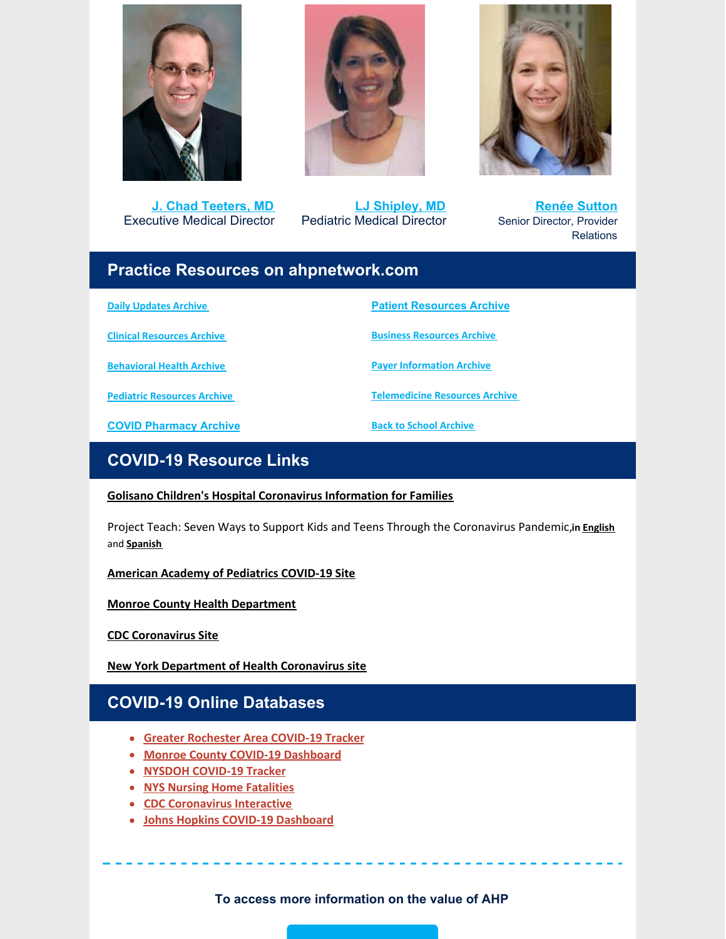

**J. Chad [Teeters,](mailto:john_teeters@urmc.rochester.edu) MD** Executive Medical Director



**LJ [Shipley,](mailto:Laura_shipley@urmc.rochester.edu) MD** Pediatric Medical Director



**Renée [Sutton](mailto:renee_sutton@urmc.rochester.edu)** Senior Director, Provider **Relations** 

### **Practice Resources on ahpnetwork.com**

**Daily [Updates](https://ahpnetwork.com/category/news/covid-19/daily-updates/) Archive**

**Clinical [Resources](https://ahpnetwork.com/category/news/covid-19/clinical-resources/) Archive**

**[Behavioral](https://ahpnetwork.com/category/news/covid-19/behavioral-health/) Health Archive**

**Pediatric [Resources](https://ahpnetwork.com/category/news/covid-19/covid-pediatrics/) Archive**

**COVID [Pharmacy](https://ahpnetwork.com/category/news/covid-19/pharmacy/) Archive**

**Patient [Resources](https://ahpnetwork.com/category/news/covid-19/patient-resources/) Archive**

**Business [Resources](https://ahpnetwork.com/category/news/covid-19/business-resources/) Archive**

**Payer [Information](https://ahpnetwork.com/category/news/covid-19/payer-information/) Archive**

**[Telemedicine](https://ahpnetwork.com/category/news/covid-19/telemedicine-resources/) Resources Archive**

**Back to School [Archive](https://ahpnetwork.com/category/news/covid-19/covid-pediatrics/covid-return-to-school/)**

# **COVID-19 Resource Links**

#### **Golisano Children's Hospital [Coronavirus](https://www.urmc.rochester.edu/childrens-hospital/coronavirus-information-for-families.aspx) Information for Families**

Project Teach: Seven Ways to Support Kids and Teens Through the Coronavirus Pandemic,**in [English](https://www.mghclaycenter.org/hot-topics/7-ways-to-support-kids-and-teens-through-the-coronavirus-pandemic/)** and **[Spanish](https://www.mghclaycenter.org/hot-topics/7-maneras-de-apoyar-a-ninos-y-adolescentes-durante-la-pandemia-del-coronavirus/)**

**American Academy of [Pediatrics](https://services.aap.org/en/pages/2019-novel-coronavirus-covid-19-infections/) COVID-19 Site**

**Monroe County Health [Department](https://www2.monroecounty.gov/health-coronavirus)**

**CDC [Coronavirus](https://www.cdc.gov/coronavirus/2019-nCoV/index.html) Site**

**New York [Department](https://www.health.ny.gov/diseases/communicable/coronavirus/) of Health Coronavirus site**

## **COVID-19 Online Databases**

- **Greater [Rochester](https://chet-rochester.shinyapps.io/covid-19-dashboard/) Area COVID-19 Tracker**
- **Monroe County COVID-19 [Dashboard](http://dashboard.monroecounty.gov/)**
- **NYSDOH [COVID-19](https://www.ny.gov/covid-19tracker) Tracker**
- **NYS Nursing Home [Fatalities](https://www.health.ny.gov/statistics/diseases/covid-19/fatalities_nursing_home_acf.pdf)**
- **CDC [Coronavirus](https://www.cdc.gov/coronavirus-interactive/index.html) Interactive**
- **Johns Hopkins COVID-19 [Dashboard](https://coronavirus.jhu.edu/map.html)**

**To access more information on the value of AHP**